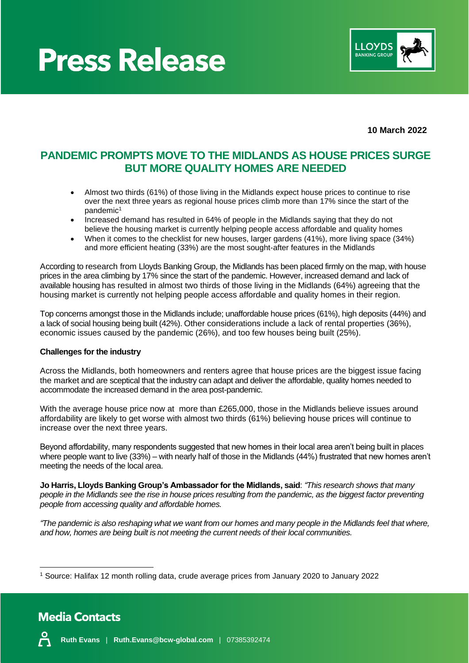## **Press Release**



**10 March 2022**

### **PANDEMIC PROMPTS MOVE TO THE MIDLANDS AS HOUSE PRICES SURGE BUT MORE QUALITY HOMES ARE NEEDED**

- Almost two thirds (61%) of those living in the Midlands expect house prices to continue to rise over the next three years as regional house prices climb more than 17% since the start of the pandemic<sup>1</sup>
- Increased demand has resulted in 64% of people in the Midlands saying that they do not believe the housing market is currently helping people access affordable and quality homes
- When it comes to the checklist for new houses, larger gardens (41%), more living space (34%) and more efficient heating (33%) are the most sought-after features in the Midlands

According to research from Lloyds Banking Group, the Midlands has been placed firmly on the map, with house prices in the area climbing by 17% since the start of the pandemic. However, increased demand and lack of available housing has resulted in almost two thirds of those living in the Midlands (64%) agreeing that the housing market is currently not helping people access affordable and quality homes in their region.

Top concerns amongst those in the Midlands include; unaffordable house prices (61%), high deposits (44%) and a lack of social housing being built (42%). Other considerations include a lack of rental properties (36%), economic issues caused by the pandemic (26%), and too few houses being built (25%).

#### **Challenges for the industry**

Across the Midlands, both homeowners and renters agree that house prices are the biggest issue facing the market and are sceptical that the industry can adapt and deliver the affordable, quality homes needed to accommodate the increased demand in the area post-pandemic.

With the average house price now at more than £265,000, those in the Midlands believe issues around affordability are likely to get worse with almost two thirds (61%) believing house prices will continue to increase over the next three years.

Beyond affordability, many respondents suggested that new homes in their local area aren't being built in places where people want to live (33%) – with nearly half of those in the Midlands (44%) frustrated that new homes aren't meeting the needs of the local area.

**Jo Harris, Lloyds Banking Group's Ambassador for the Midlands, said**: *"This research shows that many people in the Midlands see the rise in house prices resulting from the pandemic, as the biggest factor preventing people from accessing quality and affordable homes.*

*"The pandemic is also reshaping what we want from our homes and many people in the Midlands feel that where, and how, homes are being built is not meeting the current needs of their local communities.*

<sup>1</sup> Source: Halifax 12 month rolling data, crude average prices from January 2020 to January 2022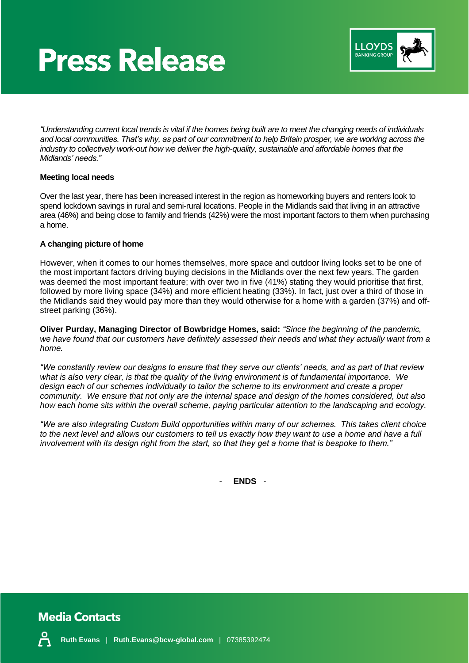## **Press Release**



*"Understanding current local trends is vital if the homes being built are to meet the changing needs of individuals and local communities. That's why, as part of our commitment to help Britain prosper, we are working across the industry to collectively work-out how we deliver the high-quality, sustainable and affordable homes that the Midlands' needs."*

#### **Meeting local needs**

Over the last year, there has been increased interest in the region as homeworking buyers and renters look to spend lockdown savings in rural and semi-rural locations. People in the Midlands said that living in an attractive area (46%) and being close to family and friends (42%) were the most important factors to them when purchasing a home.

#### **A changing picture of home**

However, when it comes to our homes themselves, more space and outdoor living looks set to be one of the most important factors driving buying decisions in the Midlands over the next few years. The garden was deemed the most important feature; with over two in five (41%) stating they would prioritise that first, followed by more living space (34%) and more efficient heating (33%). In fact, just over a third of those in the Midlands said they would pay more than they would otherwise for a home with a garden (37%) and offstreet parking (36%).

**Oliver Purday, Managing Director of Bowbridge Homes, said:** *"Since the beginning of the pandemic,*  we have found that our customers have definitely assessed their needs and what they actually want from a *home.*

*"We constantly review our designs to ensure that they serve our clients' needs, and as part of that review what is also very clear, is that the quality of the living environment is of fundamental importance. We design each of our schemes individually to tailor the scheme to its environment and create a proper community. We ensure that not only are the internal space and design of the homes considered, but also how each home sits within the overall scheme, paying particular attention to the landscaping and ecology.* 

*"We are also integrating Custom Build opportunities within many of our schemes. This takes client choice to the next level and allows our customers to tell us exactly how they want to use a home and have a full involvement with its design right from the start, so that they get a home that is bespoke to them."*

- **ENDS** -